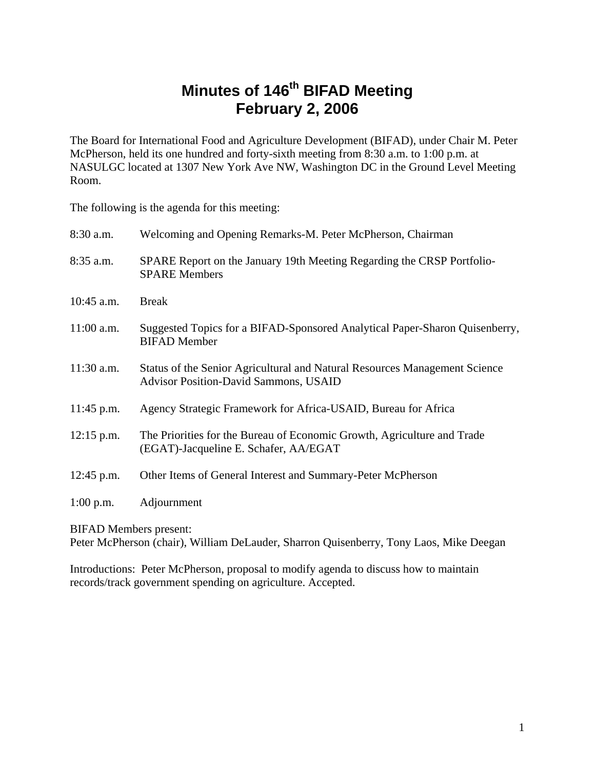# **Minutes of 146<sup>th</sup> BIFAD Meeting February 2, 2006**

The Board for International Food and Agriculture Development (BIFAD), under Chair M. Peter McPherson, held its one hundred and forty-sixth meeting from 8:30 a.m. to 1:00 p.m. at NASULGC located at 1307 New York Ave NW, Washington DC in the Ground Level Meeting Room.

The following is the agenda for this meeting:

| 8:30 a.m.    | Welcoming and Opening Remarks-M. Peter McPherson, Chairman                                                                 |
|--------------|----------------------------------------------------------------------------------------------------------------------------|
| 8:35 a.m.    | SPARE Report on the January 19th Meeting Regarding the CRSP Portfolio-<br><b>SPARE Members</b>                             |
| $10:45$ a.m. | <b>Break</b>                                                                                                               |
| $11:00$ a.m. | Suggested Topics for a BIFAD-Sponsored Analytical Paper-Sharon Quisenberry,<br><b>BIFAD</b> Member                         |
| $11:30$ a.m. | Status of the Senior Agricultural and Natural Resources Management Science<br><b>Advisor Position-David Sammons, USAID</b> |
| $11:45$ p.m. | Agency Strategic Framework for Africa-USAID, Bureau for Africa                                                             |
| $12:15$ p.m. | The Priorities for the Bureau of Economic Growth, Agriculture and Trade<br>(EGAT)-Jacqueline E. Schafer, AA/EGAT           |
| $12:45$ p.m. | Other Items of General Interest and Summary-Peter McPherson                                                                |
| $1:00$ p.m.  | Adjournment                                                                                                                |

BIFAD Members present:

Peter McPherson (chair), William DeLauder, Sharron Quisenberry, Tony Laos, Mike Deegan

Introductions: Peter McPherson, proposal to modify agenda to discuss how to maintain records/track government spending on agriculture. Accepted.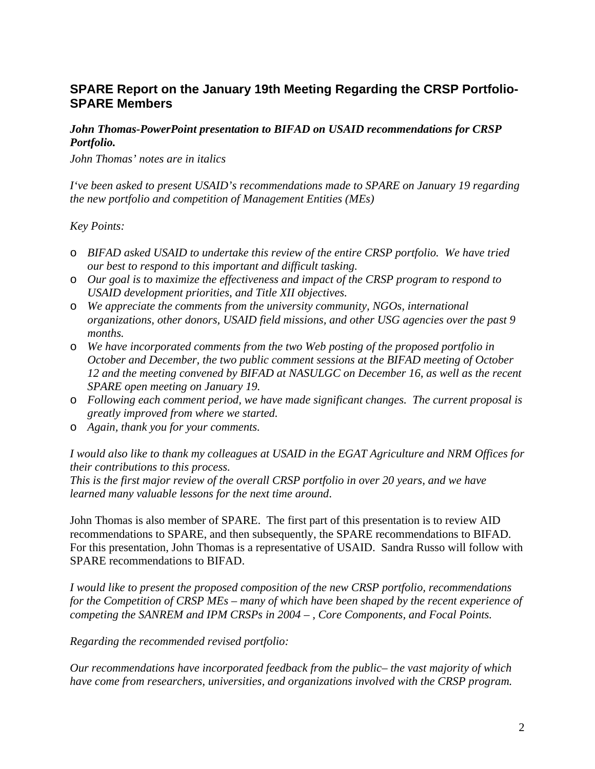### **SPARE Report on the January 19th Meeting Regarding the CRSP Portfolio-SPARE Members**

#### *John Thomas-PowerPoint presentation to BIFAD on USAID recommendations for CRSP Portfolio.*

*John Thomas' notes are in italics* 

*I've been asked to present USAID's recommendations made to SPARE on January 19 regarding the new portfolio and competition of Management Entities (MEs)* 

#### *Key Points:*

- o *BIFAD asked USAID to undertake this review of the entire CRSP portfolio. We have tried our best to respond to this important and difficult tasking.*
- o *Our goal is to maximize the effectiveness and impact of the CRSP program to respond to USAID development priorities, and Title XII objectives.*
- o *We appreciate the comments from the university community, NGOs, international organizations, other donors, USAID field missions, and other USG agencies over the past 9 months.*
- o *We have incorporated comments from the two Web posting of the proposed portfolio in October and December, the two public comment sessions at the BIFAD meeting of October 12 and the meeting convened by BIFAD at NASULGC on December 16, as well as the recent SPARE open meeting on January 19.*
- o *Following each comment period, we have made significant changes. The current proposal is greatly improved from where we started.*
- o *Again, thank you for your comments.*

#### *I would also like to thank my colleagues at USAID in the EGAT Agriculture and NRM Offices for their contributions to this process.*

*This is the first major review of the overall CRSP portfolio in over 20 years, and we have learned many valuable lessons for the next time around*.

John Thomas is also member of SPARE. The first part of this presentation is to review AID recommendations to SPARE, and then subsequently, the SPARE recommendations to BIFAD. For this presentation, John Thomas is a representative of USAID. Sandra Russo will follow with SPARE recommendations to BIFAD.

*I would like to present the proposed composition of the new CRSP portfolio, recommendations for the Competition of CRSP MEs – many of which have been shaped by the recent experience of competing the SANREM and IPM CRSPs in 2004 – , Core Components, and Focal Points.* 

*Regarding the recommended revised portfolio:* 

*Our recommendations have incorporated feedback from the public– the vast majority of which have come from researchers, universities, and organizations involved with the CRSP program.*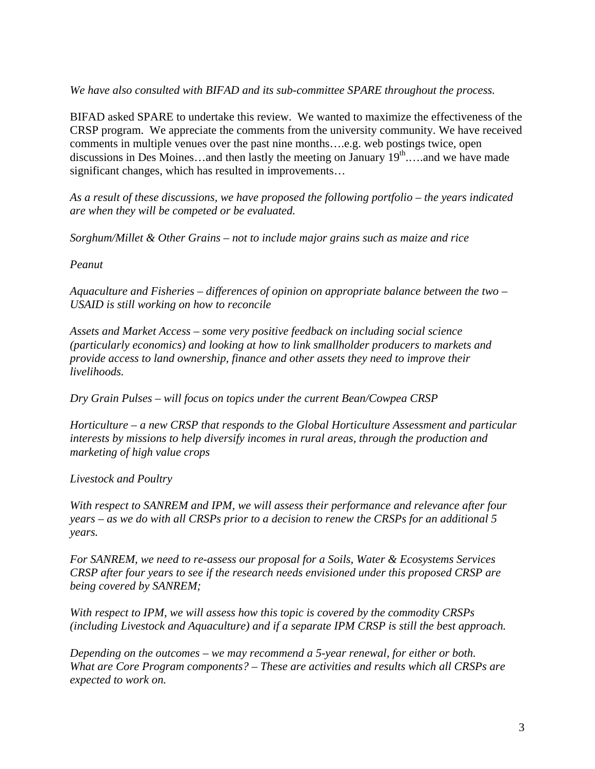*We have also consulted with BIFAD and its sub-committee SPARE throughout the process.* 

BIFAD asked SPARE to undertake this review. We wanted to maximize the effectiveness of the CRSP program. We appreciate the comments from the university community. We have received comments in multiple venues over the past nine months….e.g. web postings twice, open discussions in Des Moines...and then lastly the meeting on January  $19<sup>th</sup>$ ....and we have made significant changes, which has resulted in improvements...

*As a result of these discussions, we have proposed the following portfolio – the years indicated are when they will be competed or be evaluated.* 

*Sorghum/Millet & Other Grains – not to include major grains such as maize and rice* 

*Peanut* 

*Aquaculture and Fisheries – differences of opinion on appropriate balance between the two – USAID is still working on how to reconcile* 

*Assets and Market Access – some very positive feedback on including social science (particularly economics) and looking at how to link smallholder producers to markets and provide access to land ownership, finance and other assets they need to improve their livelihoods.* 

*Dry Grain Pulses – will focus on topics under the current Bean/Cowpea CRSP* 

*Horticulture – a new CRSP that responds to the Global Horticulture Assessment and particular interests by missions to help diversify incomes in rural areas, through the production and marketing of high value crops* 

*Livestock and Poultry* 

*With respect to SANREM and IPM, we will assess their performance and relevance after four years – as we do with all CRSPs prior to a decision to renew the CRSPs for an additional 5 years.* 

*For SANREM, we need to re-assess our proposal for a Soils, Water & Ecosystems Services CRSP after four years to see if the research needs envisioned under this proposed CRSP are being covered by SANREM;* 

*With respect to IPM, we will assess how this topic is covered by the commodity CRSPs (including Livestock and Aquaculture) and if a separate IPM CRSP is still the best approach.* 

*Depending on the outcomes – we may recommend a 5-year renewal, for either or both. What are Core Program components? – These are activities and results which all CRSPs are expected to work on.*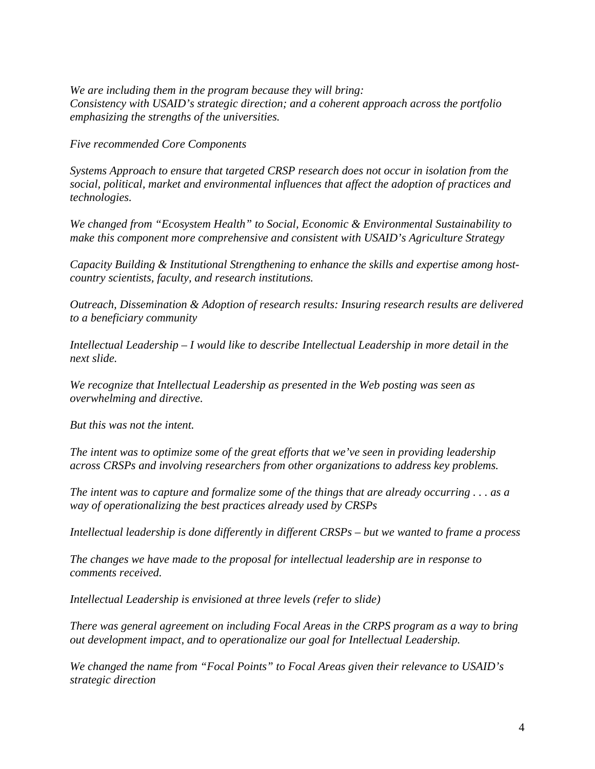*We are including them in the program because they will bring: Consistency with USAID's strategic direction; and a coherent approach across the portfolio emphasizing the strengths of the universities.* 

*Five recommended Core Components* 

*Systems Approach to ensure that targeted CRSP research does not occur in isolation from the social, political, market and environmental influences that affect the adoption of practices and technologies.* 

*We changed from "Ecosystem Health" to Social, Economic & Environmental Sustainability to make this component more comprehensive and consistent with USAID's Agriculture Strategy* 

*Capacity Building & Institutional Strengthening to enhance the skills and expertise among hostcountry scientists, faculty, and research institutions.* 

*Outreach, Dissemination & Adoption of research results: Insuring research results are delivered to a beneficiary community* 

*Intellectual Leadership – I would like to describe Intellectual Leadership in more detail in the next slide.* 

*We recognize that Intellectual Leadership as presented in the Web posting was seen as overwhelming and directive.* 

*But this was not the intent.* 

*The intent was to optimize some of the great efforts that we've seen in providing leadership across CRSPs and involving researchers from other organizations to address key problems.* 

*The intent was to capture and formalize some of the things that are already occurring . . . as a way of operationalizing the best practices already used by CRSPs* 

*Intellectual leadership is done differently in different CRSPs – but we wanted to frame a process* 

*The changes we have made to the proposal for intellectual leadership are in response to comments received.* 

*Intellectual Leadership is envisioned at three levels (refer to slide)* 

*There was general agreement on including Focal Areas in the CRPS program as a way to bring out development impact, and to operationalize our goal for Intellectual Leadership.* 

*We changed the name from "Focal Points" to Focal Areas given their relevance to USAID's strategic direction*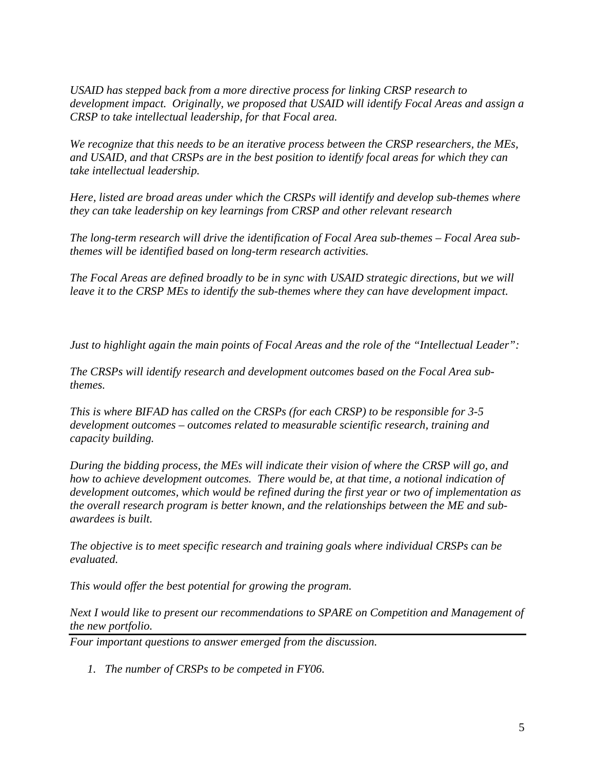*USAID has stepped back from a more directive process for linking CRSP research to development impact. Originally, we proposed that USAID will identify Focal Areas and assign a CRSP to take intellectual leadership, for that Focal area.* 

*We recognize that this needs to be an iterative process between the CRSP researchers, the MEs, and USAID, and that CRSPs are in the best position to identify focal areas for which they can take intellectual leadership.* 

*Here, listed are broad areas under which the CRSPs will identify and develop sub-themes where they can take leadership on key learnings from CRSP and other relevant research* 

*The long-term research will drive the identification of Focal Area sub-themes – Focal Area subthemes will be identified based on long-term research activities.* 

*The Focal Areas are defined broadly to be in sync with USAID strategic directions, but we will leave it to the CRSP MEs to identify the sub-themes where they can have development impact.* 

*Just to highlight again the main points of Focal Areas and the role of the "Intellectual Leader":* 

*The CRSPs will identify research and development outcomes based on the Focal Area subthemes.* 

*This is where BIFAD has called on the CRSPs (for each CRSP) to be responsible for 3-5 development outcomes – outcomes related to measurable scientific research, training and capacity building.* 

*During the bidding process, the MEs will indicate their vision of where the CRSP will go, and how to achieve development outcomes. There would be, at that time, a notional indication of development outcomes, which would be refined during the first year or two of implementation as the overall research program is better known, and the relationships between the ME and subawardees is built.* 

*The objective is to meet specific research and training goals where individual CRSPs can be evaluated.* 

*This would offer the best potential for growing the program.* 

*Next I would like to present our recommendations to SPARE on Competition and Management of the new portfolio.* 

*Four important questions to answer emerged from the discussion.* 

*1. The number of CRSPs to be competed in FY06.*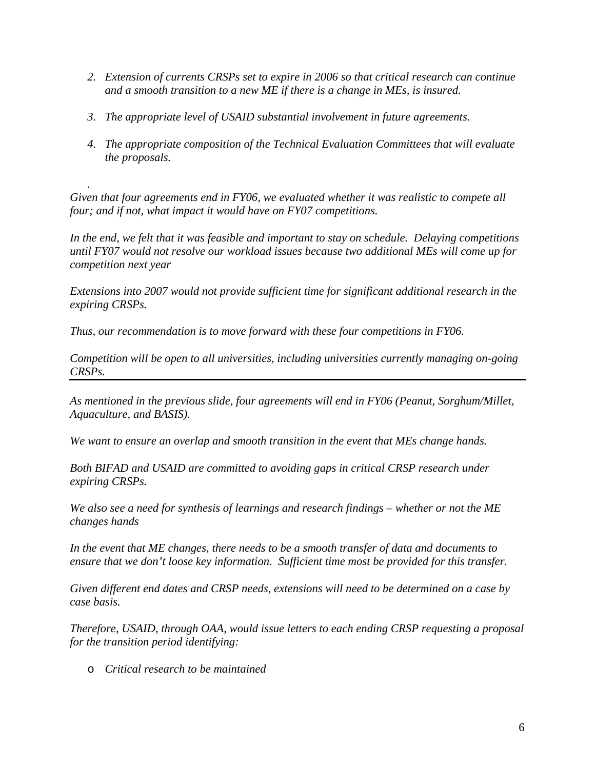- *2. Extension of currents CRSPs set to expire in 2006 so that critical research can continue and a smooth transition to a new ME if there is a change in MEs, is insured.*
- *3. The appropriate level of USAID substantial involvement in future agreements.*
- *4. The appropriate composition of the Technical Evaluation Committees that will evaluate the proposals.*

*. Given that four agreements end in FY06, we evaluated whether it was realistic to compete all four; and if not, what impact it would have on FY07 competitions.* 

*In the end, we felt that it was feasible and important to stay on schedule. Delaying competitions until FY07 would not resolve our workload issues because two additional MEs will come up for competition next year* 

*Extensions into 2007 would not provide sufficient time for significant additional research in the expiring CRSPs.* 

*Thus, our recommendation is to move forward with these four competitions in FY06.* 

*Competition will be open to all universities, including universities currently managing on-going CRSPs.* 

*As mentioned in the previous slide, four agreements will end in FY06 (Peanut, Sorghum/Millet, Aquaculture, and BASIS).* 

*We want to ensure an overlap and smooth transition in the event that MEs change hands.* 

*Both BIFAD and USAID are committed to avoiding gaps in critical CRSP research under expiring CRSPs.* 

*We also see a need for synthesis of learnings and research findings – whether or not the ME changes hands* 

*In the event that ME changes, there needs to be a smooth transfer of data and documents to ensure that we don't loose key information. Sufficient time most be provided for this transfer.* 

*Given different end dates and CRSP needs, extensions will need to be determined on a case by case basis.* 

*Therefore, USAID, through OAA, would issue letters to each ending CRSP requesting a proposal for the transition period identifying:* 

o *Critical research to be maintained*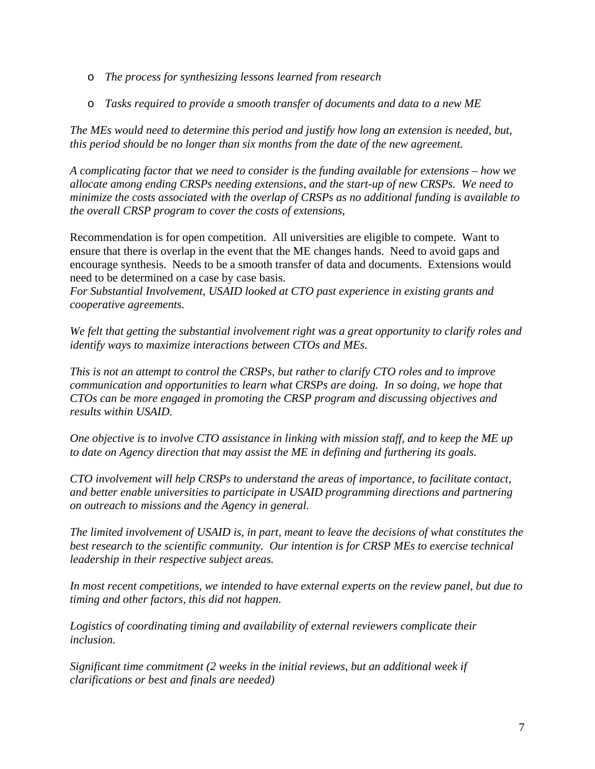- o *The process for synthesizing lessons learned from research*
- o *Tasks required to provide a smooth transfer of documents and data to a new ME*

*The MEs would need to determine this period and justify how long an extension is needed, but, this period should be no longer than six months from the date of the new agreement.* 

*A complicating factor that we need to consider is the funding available for extensions – how we allocate among ending CRSPs needing extensions, and the start-up of new CRSPs. We need to minimize the costs associated with the overlap of CRSPs as no additional funding is available to the overall CRSP program to cover the costs of extensions,* 

Recommendation is for open competition. All universities are eligible to compete. Want to ensure that there is overlap in the event that the ME changes hands. Need to avoid gaps and encourage synthesis. Needs to be a smooth transfer of data and documents. Extensions would need to be determined on a case by case basis.

*For Substantial Involvement, USAID looked at CTO past experience in existing grants and cooperative agreements.* 

*We felt that getting the substantial involvement right was a great opportunity to clarify roles and identify ways to maximize interactions between CTOs and MEs.* 

*This is not an attempt to control the CRSPs, but rather to clarify CTO roles and to improve communication and opportunities to learn what CRSPs are doing. In so doing, we hope that CTOs can be more engaged in promoting the CRSP program and discussing objectives and results within USAID.* 

*One objective is to involve CTO assistance in linking with mission staff, and to keep the ME up to date on Agency direction that may assist the ME in defining and furthering its goals.* 

*CTO involvement will help CRSPs to understand the areas of importance, to facilitate contact, and better enable universities to participate in USAID programming directions and partnering on outreach to missions and the Agency in general.* 

*The limited involvement of USAID is, in part, meant to leave the decisions of what constitutes the best research to the scientific community. Our intention is for CRSP MEs to exercise technical leadership in their respective subject areas.* 

*In most recent competitions, we intended to have external experts on the review panel, but due to timing and other factors, this did not happen.* 

*Logistics of coordinating timing and availability of external reviewers complicate their inclusion.* 

*Significant time commitment (2 weeks in the initial reviews, but an additional week if clarifications or best and finals are needed)*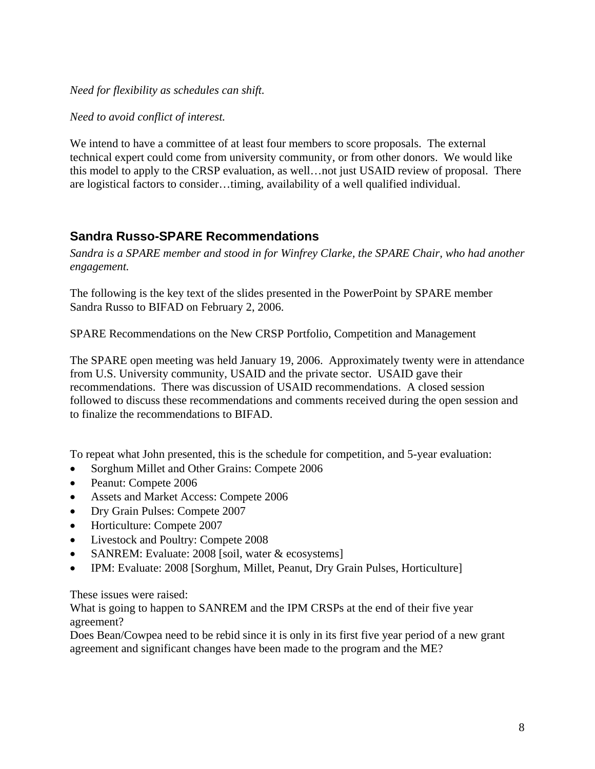*Need for flexibility as schedules can shift.* 

*Need to avoid conflict of interest.* 

We intend to have a committee of at least four members to score proposals. The external technical expert could come from university community, or from other donors. We would like this model to apply to the CRSP evaluation, as well…not just USAID review of proposal. There are logistical factors to consider…timing, availability of a well qualified individual.

## **Sandra Russo-SPARE Recommendations**

*Sandra is a SPARE member and stood in for Winfrey Clarke, the SPARE Chair, who had another engagement.* 

The following is the key text of the slides presented in the PowerPoint by SPARE member Sandra Russo to BIFAD on February 2, 2006.

SPARE Recommendations on the New CRSP Portfolio, Competition and Management

The SPARE open meeting was held January 19, 2006. Approximately twenty were in attendance from U.S. University community, USAID and the private sector. USAID gave their recommendations. There was discussion of USAID recommendations. A closed session followed to discuss these recommendations and comments received during the open session and to finalize the recommendations to BIFAD.

To repeat what John presented, this is the schedule for competition, and 5-year evaluation:

- Sorghum Millet and Other Grains: Compete 2006
- Peanut: Compete 2006
- Assets and Market Access: Compete 2006
- Dry Grain Pulses: Compete 2007
- Horticulture: Compete 2007
- Livestock and Poultry: Compete 2008
- SANREM: Evaluate: 2008 [soil, water & ecosystems]
- IPM: Evaluate: 2008 [Sorghum, Millet, Peanut, Dry Grain Pulses, Horticulture]

These issues were raised:

What is going to happen to SANREM and the IPM CRSPs at the end of their five year agreement?

Does Bean/Cowpea need to be rebid since it is only in its first five year period of a new grant agreement and significant changes have been made to the program and the ME?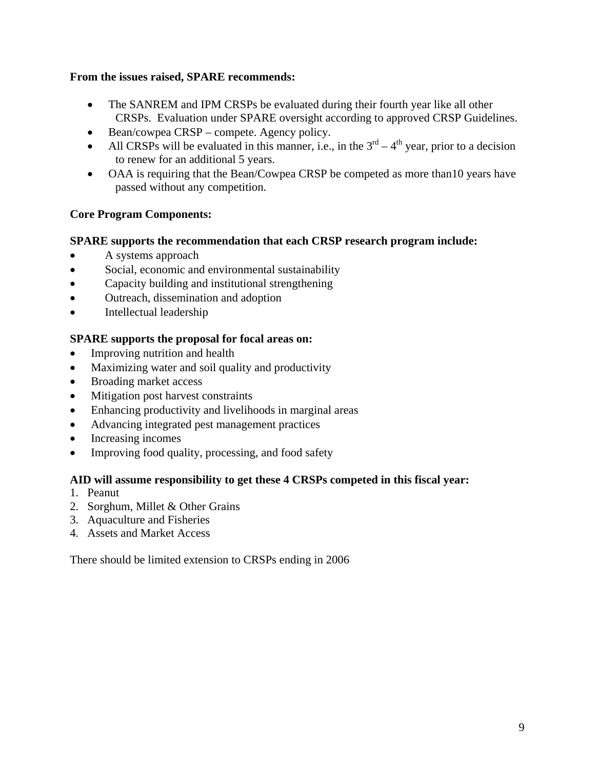#### **From the issues raised, SPARE recommends:**

- The SANREM and IPM CRSPs be evaluated during their fourth year like all other CRSPs. Evaluation under SPARE oversight according to approved CRSP Guidelines.
- Bean/cowpea CRSP compete. Agency policy.
- All CRSPs will be evaluated in this manner, i.e., in the  $3^{rd} 4^{th}$  year, prior to a decision to renew for an additional 5 years.
- OAA is requiring that the Bean/Cowpea CRSP be competed as more than 10 years have passed without any competition.

#### **Core Program Components:**

#### **SPARE supports the recommendation that each CRSP research program include:**

- A systems approach
- Social, economic and environmental sustainability
- Capacity building and institutional strengthening
- Outreach, dissemination and adoption
- Intellectual leadership

#### **SPARE supports the proposal for focal areas on:**

- Improving nutrition and health
- Maximizing water and soil quality and productivity
- Broading market access
- Mitigation post harvest constraints
- Enhancing productivity and livelihoods in marginal areas
- Advancing integrated pest management practices
- Increasing incomes
- Improving food quality, processing, and food safety

#### **AID will assume responsibility to get these 4 CRSPs competed in this fiscal year:**

- 1. Peanut
- 2. Sorghum, Millet & Other Grains
- 3. Aquaculture and Fisheries
- 4. Assets and Market Access

There should be limited extension to CRSPs ending in 2006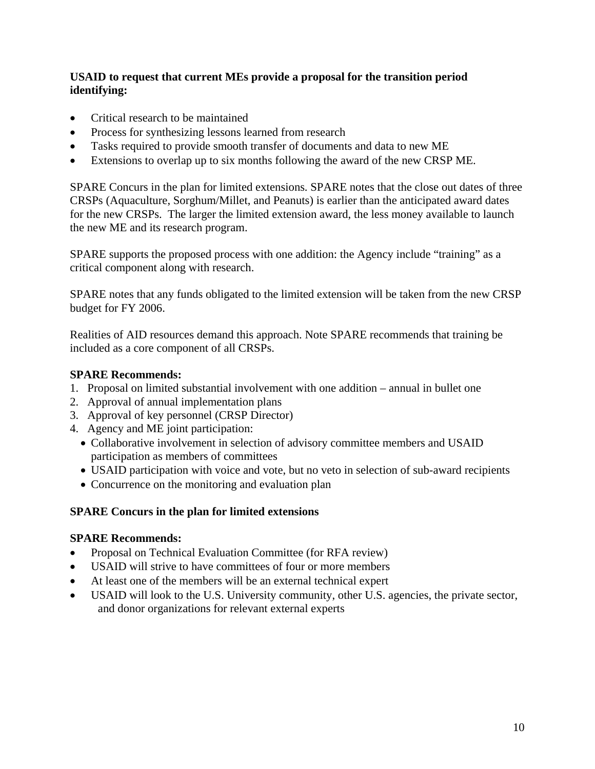#### **USAID to request that current MEs provide a proposal for the transition period identifying:**

- Critical research to be maintained
- Process for synthesizing lessons learned from research
- Tasks required to provide smooth transfer of documents and data to new ME
- Extensions to overlap up to six months following the award of the new CRSP ME.

SPARE Concurs in the plan for limited extensions. SPARE notes that the close out dates of three CRSPs (Aquaculture, Sorghum/Millet, and Peanuts) is earlier than the anticipated award dates for the new CRSPs. The larger the limited extension award, the less money available to launch the new ME and its research program.

SPARE supports the proposed process with one addition: the Agency include "training" as a critical component along with research.

SPARE notes that any funds obligated to the limited extension will be taken from the new CRSP budget for FY 2006.

Realities of AID resources demand this approach. Note SPARE recommends that training be included as a core component of all CRSPs.

#### **SPARE Recommends:**

- 1. Proposal on limited substantial involvement with one addition annual in bullet one
- 2. Approval of annual implementation plans
- 3. Approval of key personnel (CRSP Director)
- 4. Agency and ME joint participation:
	- Collaborative involvement in selection of advisory committee members and USAID participation as members of committees
	- USAID participation with voice and vote, but no veto in selection of sub-award recipients
	- Concurrence on the monitoring and evaluation plan

#### **SPARE Concurs in the plan for limited extensions**

#### **SPARE Recommends:**

- Proposal on Technical Evaluation Committee (for RFA review)
- USAID will strive to have committees of four or more members
- At least one of the members will be an external technical expert
- USAID will look to the U.S. University community, other U.S. agencies, the private sector, and donor organizations for relevant external experts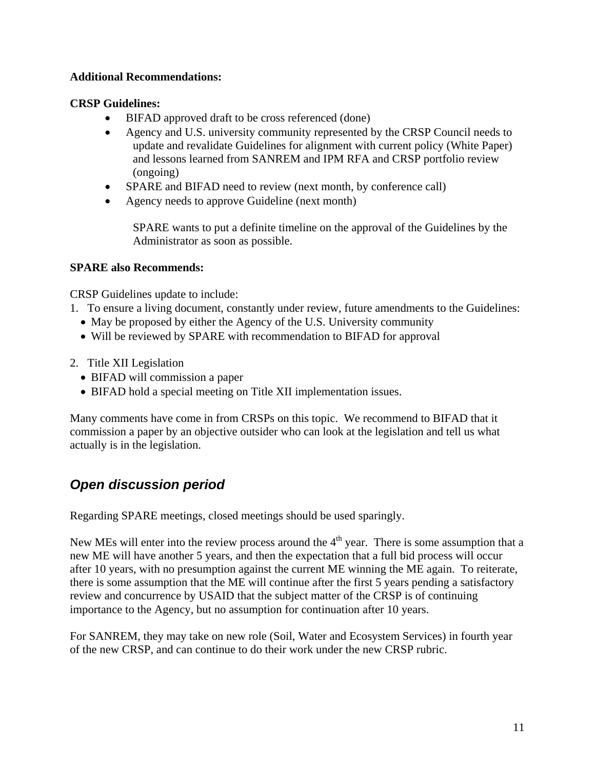#### **Additional Recommendations:**

#### **CRSP Guidelines:**

- BIFAD approved draft to be cross referenced (done)
- Agency and U.S. university community represented by the CRSP Council needs to update and revalidate Guidelines for alignment with current policy (White Paper) and lessons learned from SANREM and IPM RFA and CRSP portfolio review (ongoing)
- SPARE and BIFAD need to review (next month, by conference call)
- Agency needs to approve Guideline (next month)

SPARE wants to put a definite timeline on the approval of the Guidelines by the Administrator as soon as possible.

#### **SPARE also Recommends:**

CRSP Guidelines update to include:

- 1. To ensure a living document, constantly under review, future amendments to the Guidelines:
	- May be proposed by either the Agency of the U.S. University community
	- Will be reviewed by SPARE with recommendation to BIFAD for approval
- 2. Title XII Legislation
	- BIFAD will commission a paper
	- BIFAD hold a special meeting on Title XII implementation issues.

Many comments have come in from CRSPs on this topic. We recommend to BIFAD that it commission a paper by an objective outsider who can look at the legislation and tell us what actually is in the legislation.

## *Open discussion period*

Regarding SPARE meetings, closed meetings should be used sparingly.

New MEs will enter into the review process around the  $4<sup>th</sup>$  year. There is some assumption that a new ME will have another 5 years, and then the expectation that a full bid process will occur after 10 years, with no presumption against the current ME winning the ME again. To reiterate, there is some assumption that the ME will continue after the first 5 years pending a satisfactory review and concurrence by USAID that the subject matter of the CRSP is of continuing importance to the Agency, but no assumption for continuation after 10 years.

For SANREM, they may take on new role (Soil, Water and Ecosystem Services) in fourth year of the new CRSP, and can continue to do their work under the new CRSP rubric.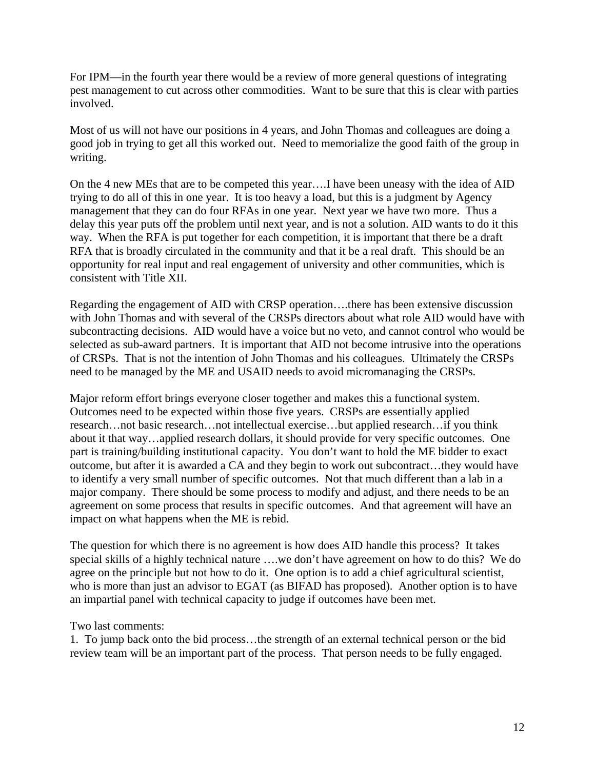For IPM—in the fourth year there would be a review of more general questions of integrating pest management to cut across other commodities. Want to be sure that this is clear with parties involved.

Most of us will not have our positions in 4 years, and John Thomas and colleagues are doing a good job in trying to get all this worked out. Need to memorialize the good faith of the group in writing.

On the 4 new MEs that are to be competed this year….I have been uneasy with the idea of AID trying to do all of this in one year. It is too heavy a load, but this is a judgment by Agency management that they can do four RFAs in one year. Next year we have two more. Thus a delay this year puts off the problem until next year, and is not a solution. AID wants to do it this way. When the RFA is put together for each competition, it is important that there be a draft RFA that is broadly circulated in the community and that it be a real draft. This should be an opportunity for real input and real engagement of university and other communities, which is consistent with Title XII.

Regarding the engagement of AID with CRSP operation….there has been extensive discussion with John Thomas and with several of the CRSPs directors about what role AID would have with subcontracting decisions. AID would have a voice but no veto, and cannot control who would be selected as sub-award partners. It is important that AID not become intrusive into the operations of CRSPs. That is not the intention of John Thomas and his colleagues. Ultimately the CRSPs need to be managed by the ME and USAID needs to avoid micromanaging the CRSPs.

Major reform effort brings everyone closer together and makes this a functional system. Outcomes need to be expected within those five years. CRSPs are essentially applied research…not basic research…not intellectual exercise…but applied research…if you think about it that way…applied research dollars, it should provide for very specific outcomes. One part is training/building institutional capacity. You don't want to hold the ME bidder to exact outcome, but after it is awarded a CA and they begin to work out subcontract…they would have to identify a very small number of specific outcomes. Not that much different than a lab in a major company. There should be some process to modify and adjust, and there needs to be an agreement on some process that results in specific outcomes. And that agreement will have an impact on what happens when the ME is rebid.

The question for which there is no agreement is how does AID handle this process? It takes special skills of a highly technical nature ….we don't have agreement on how to do this? We do agree on the principle but not how to do it. One option is to add a chief agricultural scientist, who is more than just an advisor to EGAT (as BIFAD has proposed). Another option is to have an impartial panel with technical capacity to judge if outcomes have been met.

#### Two last comments:

1. To jump back onto the bid process…the strength of an external technical person or the bid review team will be an important part of the process. That person needs to be fully engaged.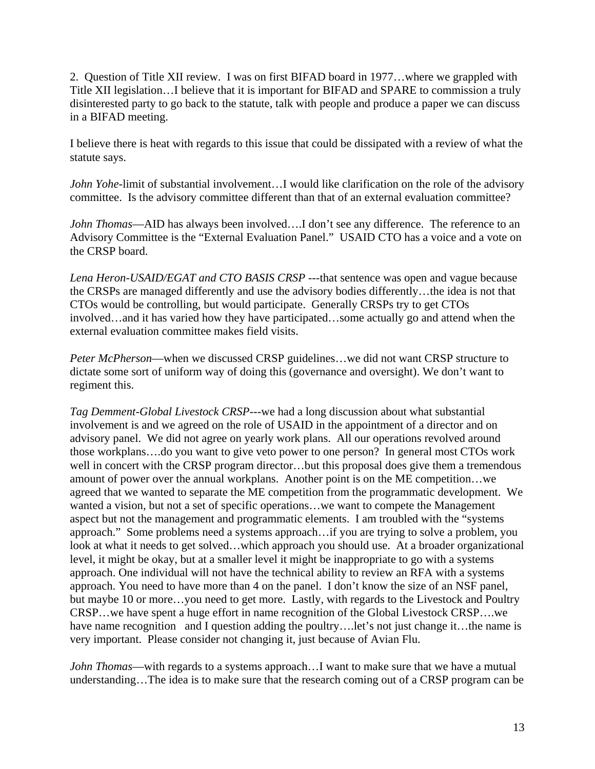2. Question of Title XII review. I was on first BIFAD board in 1977…where we grappled with Title XII legislation…I believe that it is important for BIFAD and SPARE to commission a truly disinterested party to go back to the statute, talk with people and produce a paper we can discuss in a BIFAD meeting.

I believe there is heat with regards to this issue that could be dissipated with a review of what the statute says.

*John Yohe*-limit of substantial involvement…I would like clarification on the role of the advisory committee. Is the advisory committee different than that of an external evaluation committee?

*John Thomas*—AID has always been involved….I don't see any difference. The reference to an Advisory Committee is the "External Evaluation Panel." USAID CTO has a voice and a vote on the CRSP board.

*Lena Heron-USAID/EGAT and CTO BASIS CRSP* ---that sentence was open and vague because the CRSPs are managed differently and use the advisory bodies differently…the idea is not that CTOs would be controlling, but would participate. Generally CRSPs try to get CTOs involved…and it has varied how they have participated…some actually go and attend when the external evaluation committee makes field visits.

*Peter McPherson*—when we discussed CRSP guidelines…we did not want CRSP structure to dictate some sort of uniform way of doing this (governance and oversight). We don't want to regiment this.

*Tag Demment*-*Global Livestock CRSP*---we had a long discussion about what substantial involvement is and we agreed on the role of USAID in the appointment of a director and on advisory panel. We did not agree on yearly work plans. All our operations revolved around those workplans….do you want to give veto power to one person? In general most CTOs work well in concert with the CRSP program director...but this proposal does give them a tremendous amount of power over the annual workplans. Another point is on the ME competition…we agreed that we wanted to separate the ME competition from the programmatic development. We wanted a vision, but not a set of specific operations…we want to compete the Management aspect but not the management and programmatic elements. I am troubled with the "systems approach." Some problems need a systems approach…if you are trying to solve a problem, you look at what it needs to get solved...which approach you should use. At a broader organizational level, it might be okay, but at a smaller level it might be inappropriate to go with a systems approach. One individual will not have the technical ability to review an RFA with a systems approach. You need to have more than 4 on the panel. I don't know the size of an NSF panel, but maybe 10 or more…you need to get more. Lastly, with regards to the Livestock and Poultry CRSP…we have spent a huge effort in name recognition of the Global Livestock CRSP….we have name recognition and I question adding the poultry….let's not just change it…the name is very important. Please consider not changing it, just because of Avian Flu.

*John Thomas*—with regards to a systems approach…I want to make sure that we have a mutual understanding…The idea is to make sure that the research coming out of a CRSP program can be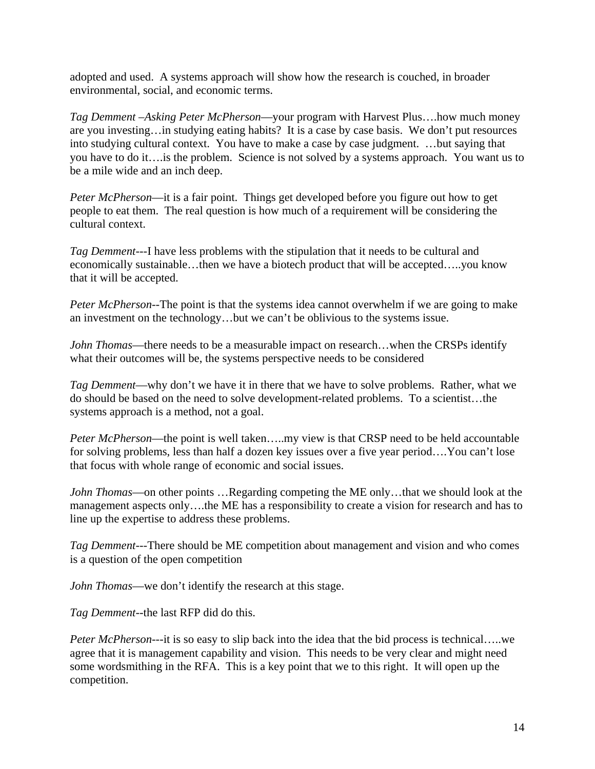adopted and used. A systems approach will show how the research is couched, in broader environmental, social, and economic terms.

*Tag Demment* –*Asking Peter McPherson*—your program with Harvest Plus….how much money are you investing…in studying eating habits? It is a case by case basis. We don't put resources into studying cultural context. You have to make a case by case judgment. …but saying that you have to do it….is the problem. Science is not solved by a systems approach. You want us to be a mile wide and an inch deep.

*Peter McPherson*—it is a fair point. Things get developed before you figure out how to get people to eat them. The real question is how much of a requirement will be considering the cultural context.

*Tag Demment*---I have less problems with the stipulation that it needs to be cultural and economically sustainable…then we have a biotech product that will be accepted…..you know that it will be accepted.

*Peter McPherson-*-The point is that the systems idea cannot overwhelm if we are going to make an investment on the technology…but we can't be oblivious to the systems issue.

*John Thomas*—there needs to be a measurable impact on research...when the CRSPs identify what their outcomes will be, the systems perspective needs to be considered

*Tag Demment*—why don't we have it in there that we have to solve problems. Rather, what we do should be based on the need to solve development-related problems. To a scientist…the systems approach is a method, not a goal.

*Peter McPherson*—the point is well taken…..my view is that CRSP need to be held accountable for solving problems, less than half a dozen key issues over a five year period….You can't lose that focus with whole range of economic and social issues.

*John Thomas*—on other points …Regarding competing the ME only…that we should look at the management aspects only….the ME has a responsibility to create a vision for research and has to line up the expertise to address these problems.

*Tag Demment*---There should be ME competition about management and vision and who comes is a question of the open competition

*John Thomas*—we don't identify the research at this stage.

*Tag Demment-*-the last RFP did do this.

*Peter McPherson*---it is so easy to slip back into the idea that the bid process is technical....we agree that it is management capability and vision. This needs to be very clear and might need some wordsmithing in the RFA. This is a key point that we to this right. It will open up the competition.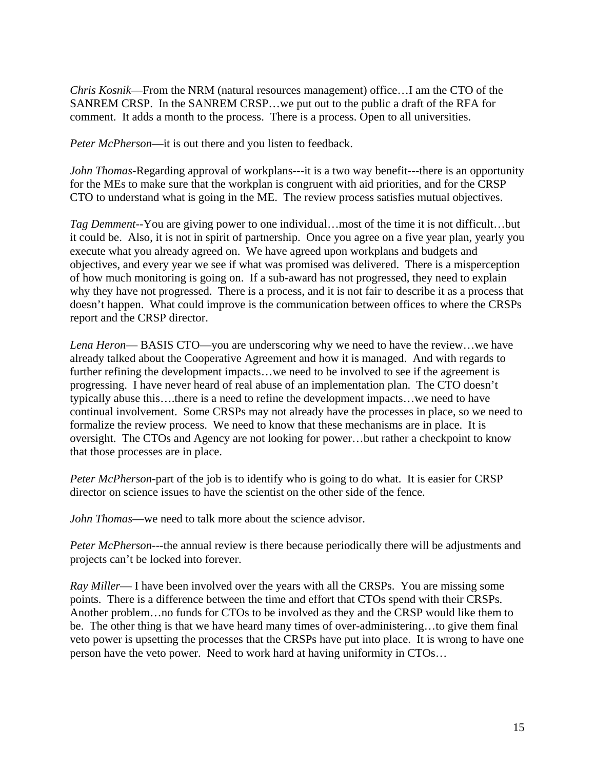*Chris Kosnik*—From the NRM (natural resources management) office…I am the CTO of the SANREM CRSP. In the SANREM CRSP…we put out to the public a draft of the RFA for comment. It adds a month to the process. There is a process. Open to all universities.

*Peter McPherson*—it is out there and you listen to feedback.

*John Thomas-*Regarding approval of workplans---it is a two way benefit---there is an opportunity for the MEs to make sure that the workplan is congruent with aid priorities, and for the CRSP CTO to understand what is going in the ME. The review process satisfies mutual objectives.

*Tag Demment-*-You are giving power to one individual…most of the time it is not difficult…but it could be. Also, it is not in spirit of partnership. Once you agree on a five year plan, yearly you execute what you already agreed on. We have agreed upon workplans and budgets and objectives, and every year we see if what was promised was delivered. There is a misperception of how much monitoring is going on. If a sub-award has not progressed, they need to explain why they have not progressed. There is a process, and it is not fair to describe it as a process that doesn't happen. What could improve is the communication between offices to where the CRSPs report and the CRSP director.

*Lena Heron*— BASIS CTO—you are underscoring why we need to have the review…we have already talked about the Cooperative Agreement and how it is managed. And with regards to further refining the development impacts...we need to be involved to see if the agreement is progressing. I have never heard of real abuse of an implementation plan. The CTO doesn't typically abuse this….there is a need to refine the development impacts…we need to have continual involvement. Some CRSPs may not already have the processes in place, so we need to formalize the review process. We need to know that these mechanisms are in place. It is oversight. The CTOs and Agency are not looking for power…but rather a checkpoint to know that those processes are in place.

*Peter McPherson*-part of the job is to identify who is going to do what. It is easier for CRSP director on science issues to have the scientist on the other side of the fence.

*John Thomas*—we need to talk more about the science advisor.

*Peter McPherson--*-the annual review is there because periodically there will be adjustments and projects can't be locked into forever.

*Ray Miller*— I have been involved over the years with all the CRSPs. You are missing some points. There is a difference between the time and effort that CTOs spend with their CRSPs. Another problem…no funds for CTOs to be involved as they and the CRSP would like them to be. The other thing is that we have heard many times of over-administering…to give them final veto power is upsetting the processes that the CRSPs have put into place. It is wrong to have one person have the veto power. Need to work hard at having uniformity in CTOs…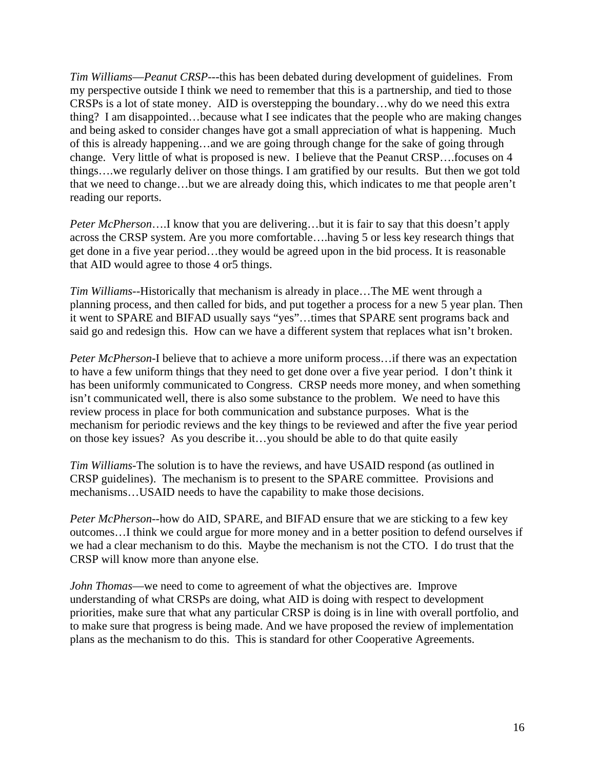*Tim Williams*—*Peanut CRSP*---this has been debated during development of guidelines. From my perspective outside I think we need to remember that this is a partnership, and tied to those CRSPs is a lot of state money. AID is overstepping the boundary…why do we need this extra thing? I am disappointed…because what I see indicates that the people who are making changes and being asked to consider changes have got a small appreciation of what is happening. Much of this is already happening…and we are going through change for the sake of going through change. Very little of what is proposed is new. I believe that the Peanut CRSP….focuses on 4 things….we regularly deliver on those things. I am gratified by our results. But then we got told that we need to change…but we are already doing this, which indicates to me that people aren't reading our reports.

*Peter McPherson*….I know that you are delivering…but it is fair to say that this doesn't apply across the CRSP system. Are you more comfortable….having 5 or less key research things that get done in a five year period…they would be agreed upon in the bid process. It is reasonable that AID would agree to those 4 or5 things.

*Tim Williams-*-Historically that mechanism is already in place…The ME went through a planning process, and then called for bids, and put together a process for a new 5 year plan. Then it went to SPARE and BIFAD usually says "yes"…times that SPARE sent programs back and said go and redesign this. How can we have a different system that replaces what isn't broken.

*Peter McPherson*-I believe that to achieve a more uniform process…if there was an expectation to have a few uniform things that they need to get done over a five year period. I don't think it has been uniformly communicated to Congress. CRSP needs more money, and when something isn't communicated well, there is also some substance to the problem. We need to have this review process in place for both communication and substance purposes. What is the mechanism for periodic reviews and the key things to be reviewed and after the five year period on those key issues? As you describe it…you should be able to do that quite easily

*Tim Williams-*The solution is to have the reviews, and have USAID respond (as outlined in CRSP guidelines). The mechanism is to present to the SPARE committee. Provisions and mechanisms…USAID needs to have the capability to make those decisions.

*Peter McPherson-*-how do AID, SPARE, and BIFAD ensure that we are sticking to a few key outcomes…I think we could argue for more money and in a better position to defend ourselves if we had a clear mechanism to do this. Maybe the mechanism is not the CTO. I do trust that the CRSP will know more than anyone else.

*John Thomas*—we need to come to agreement of what the objectives are. Improve understanding of what CRSPs are doing, what AID is doing with respect to development priorities, make sure that what any particular CRSP is doing is in line with overall portfolio, and to make sure that progress is being made. And we have proposed the review of implementation plans as the mechanism to do this. This is standard for other Cooperative Agreements.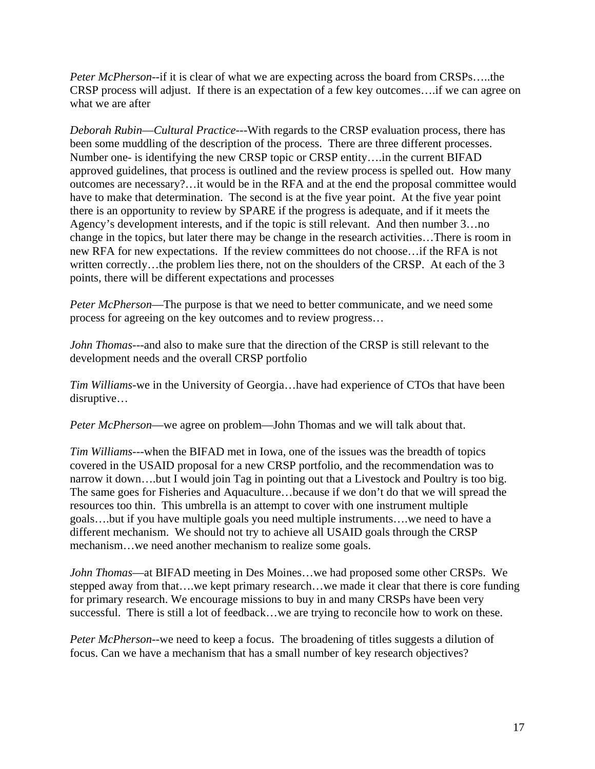*Peter McPherson-*-if it is clear of what we are expecting across the board from CRSPs…..the CRSP process will adjust. If there is an expectation of a few key outcomes….if we can agree on what we are after

*Deborah Rubin*—*Cultural Practice*---With regards to the CRSP evaluation process, there has been some muddling of the description of the process. There are three different processes. Number one- is identifying the new CRSP topic or CRSP entity….in the current BIFAD approved guidelines, that process is outlined and the review process is spelled out. How many outcomes are necessary?…it would be in the RFA and at the end the proposal committee would have to make that determination. The second is at the five year point. At the five year point there is an opportunity to review by SPARE if the progress is adequate, and if it meets the Agency's development interests, and if the topic is still relevant. And then number 3…no change in the topics, but later there may be change in the research activities…There is room in new RFA for new expectations. If the review committees do not choose…if the RFA is not written correctly...the problem lies there, not on the shoulders of the CRSP. At each of the 3 points, there will be different expectations and processes

*Peter McPherson*—The purpose is that we need to better communicate, and we need some process for agreeing on the key outcomes and to review progress…

*John Thomas*---and also to make sure that the direction of the CRSP is still relevant to the development needs and the overall CRSP portfolio

*Tim Williams*-we in the University of Georgia…have had experience of CTOs that have been disruptive…

*Peter McPherson*—we agree on problem—John Thomas and we will talk about that.

*Tim Williams*---when the BIFAD met in Iowa, one of the issues was the breadth of topics covered in the USAID proposal for a new CRSP portfolio, and the recommendation was to narrow it down….but I would join Tag in pointing out that a Livestock and Poultry is too big. The same goes for Fisheries and Aquaculture…because if we don't do that we will spread the resources too thin. This umbrella is an attempt to cover with one instrument multiple goals….but if you have multiple goals you need multiple instruments….we need to have a different mechanism. We should not try to achieve all USAID goals through the CRSP mechanism…we need another mechanism to realize some goals.

*John Thomas*—at BIFAD meeting in Des Moines…we had proposed some other CRSPs. We stepped away from that….we kept primary research…we made it clear that there is core funding for primary research. We encourage missions to buy in and many CRSPs have been very successful. There is still a lot of feedback...we are trying to reconcile how to work on these.

*Peter McPherson-*-we need to keep a focus. The broadening of titles suggests a dilution of focus. Can we have a mechanism that has a small number of key research objectives?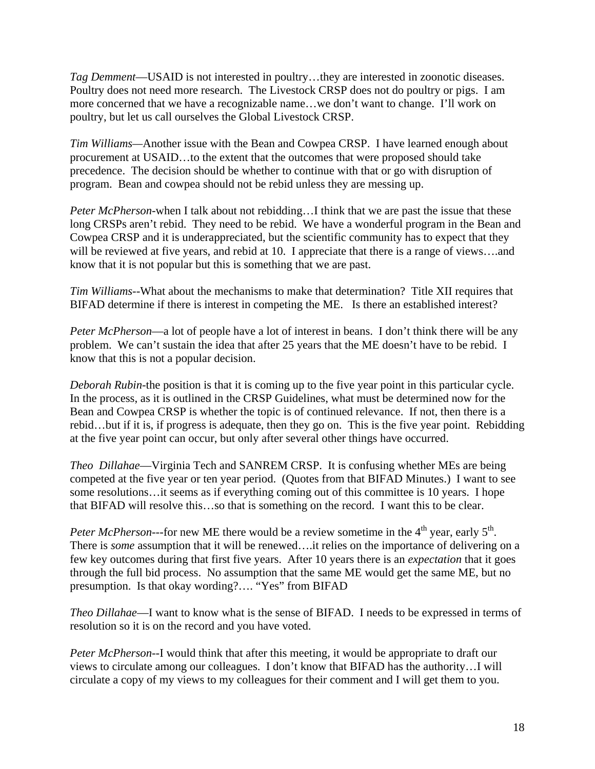*Tag Demment*—USAID is not interested in poultry…they are interested in zoonotic diseases. Poultry does not need more research. The Livestock CRSP does not do poultry or pigs. I am more concerned that we have a recognizable name…we don't want to change. I'll work on poultry, but let us call ourselves the Global Livestock CRSP.

*Tim Williams—*Another issue with the Bean and Cowpea CRSP. I have learned enough about procurement at USAID…to the extent that the outcomes that were proposed should take precedence. The decision should be whether to continue with that or go with disruption of program. Bean and cowpea should not be rebid unless they are messing up.

*Peter McPherson*-when I talk about not rebidding…I think that we are past the issue that these long CRSPs aren't rebid. They need to be rebid. We have a wonderful program in the Bean and Cowpea CRSP and it is underappreciated, but the scientific community has to expect that they will be reviewed at five years, and rebid at 10. I appreciate that there is a range of views....and know that it is not popular but this is something that we are past.

*Tim Williams-*-What about the mechanisms to make that determination? Title XII requires that BIFAD determine if there is interest in competing the ME. Is there an established interest?

*Peter McPherson*—a lot of people have a lot of interest in beans. I don't think there will be any problem. We can't sustain the idea that after 25 years that the ME doesn't have to be rebid. I know that this is not a popular decision.

*Deborah Rubin*-the position is that it is coming up to the five year point in this particular cycle. In the process, as it is outlined in the CRSP Guidelines, what must be determined now for the Bean and Cowpea CRSP is whether the topic is of continued relevance. If not, then there is a rebid…but if it is, if progress is adequate, then they go on. This is the five year point. Rebidding at the five year point can occur, but only after several other things have occurred.

*Theo Dillahae*—Virginia Tech and SANREM CRSP. It is confusing whether MEs are being competed at the five year or ten year period. (Quotes from that BIFAD Minutes.) I want to see some resolutions…it seems as if everything coming out of this committee is 10 years. I hope that BIFAD will resolve this…so that is something on the record. I want this to be clear.

*Peter McPherson*---for new ME there would be a review sometime in the  $4<sup>th</sup>$  year, early  $5<sup>th</sup>$ . There is *some* assumption that it will be renewed….it relies on the importance of delivering on a few key outcomes during that first five years. After 10 years there is an *expectation* that it goes through the full bid process. No assumption that the same ME would get the same ME, but no presumption. Is that okay wording?…. "Yes" from BIFAD

*Theo Dillahae*—I want to know what is the sense of BIFAD. I needs to be expressed in terms of resolution so it is on the record and you have voted.

*Peter McPherson-*-I would think that after this meeting, it would be appropriate to draft our views to circulate among our colleagues. I don't know that BIFAD has the authority…I will circulate a copy of my views to my colleagues for their comment and I will get them to you.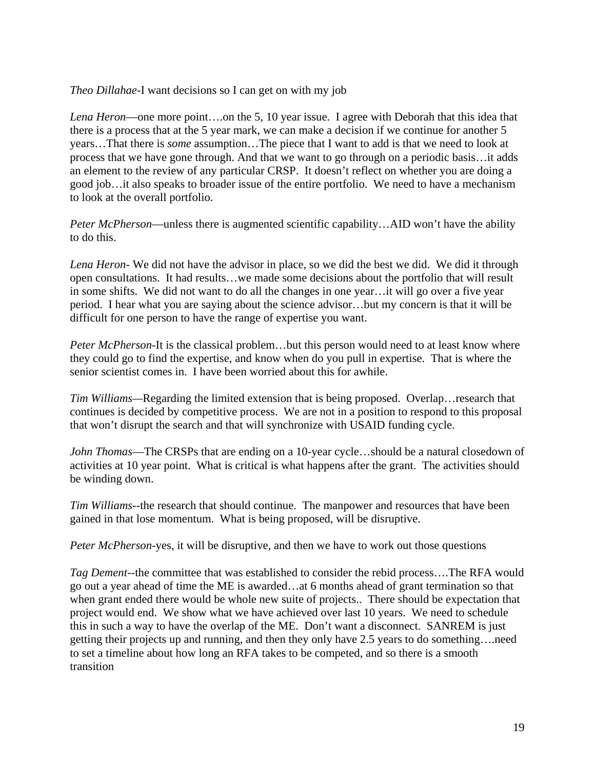*Theo Dillahae-*I want decisions so I can get on with my job

*Lena Heron*—one more point….on the 5, 10 year issue. I agree with Deborah that this idea that there is a process that at the 5 year mark, we can make a decision if we continue for another 5 years…That there is *some* assumption…The piece that I want to add is that we need to look at process that we have gone through. And that we want to go through on a periodic basis…it adds an element to the review of any particular CRSP. It doesn't reflect on whether you are doing a good job…it also speaks to broader issue of the entire portfolio. We need to have a mechanism to look at the overall portfolio.

*Peter McPherson*—unless there is augmented scientific capability...AID won't have the ability to do this.

*Lena Heron*- We did not have the advisor in place, so we did the best we did. We did it through open consultations. It had results…we made some decisions about the portfolio that will result in some shifts. We did not want to do all the changes in one year…it will go over a five year period. I hear what you are saying about the science advisor…but my concern is that it will be difficult for one person to have the range of expertise you want.

*Peter McPherson*-It is the classical problem...but this person would need to at least know where they could go to find the expertise, and know when do you pull in expertise. That is where the senior scientist comes in. I have been worried about this for awhile.

*Tim Williams—*Regarding the limited extension that is being proposed. Overlap…research that continues is decided by competitive process. We are not in a position to respond to this proposal that won't disrupt the search and that will synchronize with USAID funding cycle.

*John Thomas*—The CRSPs that are ending on a 10-year cycle…should be a natural closedown of activities at 10 year point. What is critical is what happens after the grant. The activities should be winding down.

*Tim Williams-*-the research that should continue. The manpower and resources that have been gained in that lose momentum. What is being proposed, will be disruptive.

*Peter McPherson-*yes, it will be disruptive, and then we have to work out those questions

*Tag Dement-*-the committee that was established to consider the rebid process….The RFA would go out a year ahead of time the ME is awarded…at 6 months ahead of grant termination so that when grant ended there would be whole new suite of projects.. There should be expectation that project would end. We show what we have achieved over last 10 years. We need to schedule this in such a way to have the overlap of the ME. Don't want a disconnect. SANREM is just getting their projects up and running, and then they only have 2.5 years to do something….need to set a timeline about how long an RFA takes to be competed, and so there is a smooth transition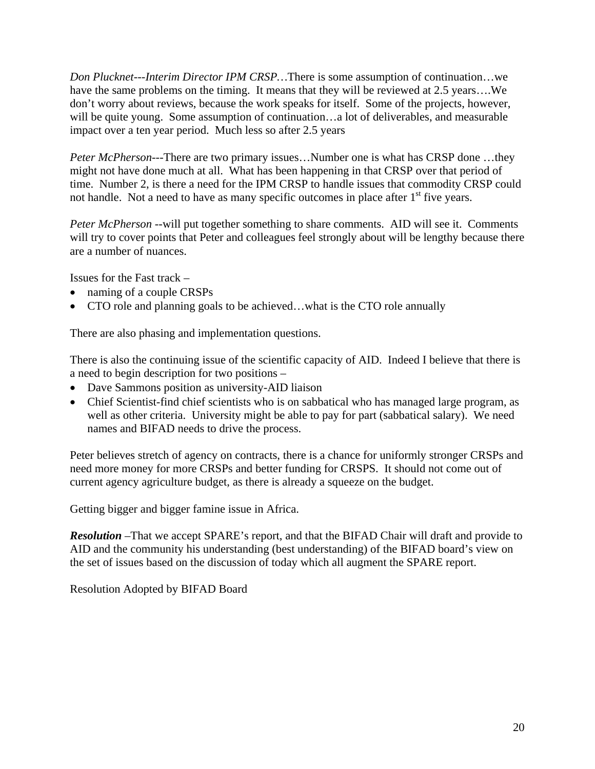*Don Plucknet---Interim Director IPM CRSP…*There is some assumption of continuation…we have the same problems on the timing. It means that they will be reviewed at 2.5 years....We don't worry about reviews, because the work speaks for itself. Some of the projects, however, will be quite young. Some assumption of continuation...a lot of deliverables, and measurable impact over a ten year period. Much less so after 2.5 years

*Peter McPherson*---There are two primary issues...Number one is what has CRSP done ...they might not have done much at all. What has been happening in that CRSP over that period of time. Number 2, is there a need for the IPM CRSP to handle issues that commodity CRSP could not handle. Not a need to have as many specific outcomes in place after  $1<sup>st</sup>$  five years.

*Peter McPherson --*will put together something to share comments. AID will see it. Comments will try to cover points that Peter and colleagues feel strongly about will be lengthy because there are a number of nuances.

Issues for the Fast track –

- naming of a couple CRSPs
- CTO role and planning goals to be achieved...what is the CTO role annually

There are also phasing and implementation questions.

There is also the continuing issue of the scientific capacity of AID. Indeed I believe that there is a need to begin description for two positions –

- Dave Sammons position as university-AID liaison
- Chief Scientist-find chief scientists who is on sabbatical who has managed large program, as well as other criteria. University might be able to pay for part (sabbatical salary). We need names and BIFAD needs to drive the process.

Peter believes stretch of agency on contracts, there is a chance for uniformly stronger CRSPs and need more money for more CRSPs and better funding for CRSPS. It should not come out of current agency agriculture budget, as there is already a squeeze on the budget.

Getting bigger and bigger famine issue in Africa.

*Resolution* –That we accept SPARE's report, and that the BIFAD Chair will draft and provide to AID and the community his understanding (best understanding) of the BIFAD board's view on the set of issues based on the discussion of today which all augment the SPARE report.

Resolution Adopted by BIFAD Board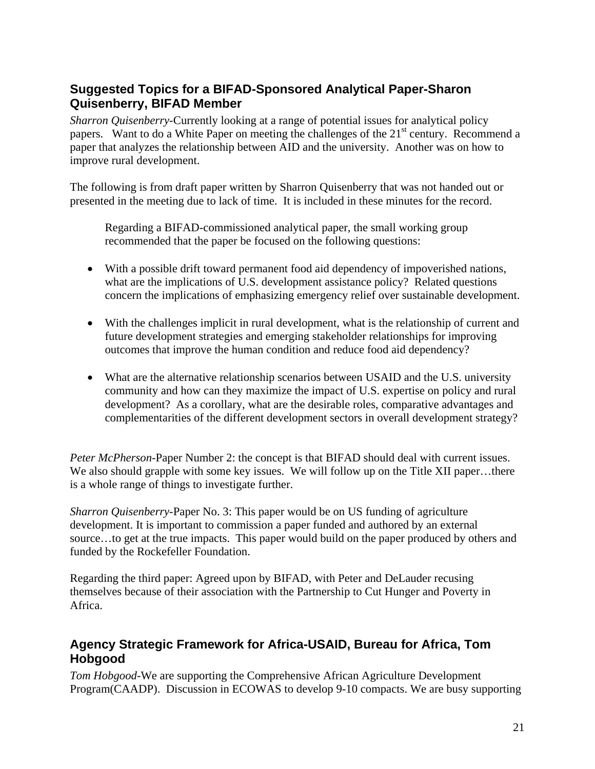## **Suggested Topics for a BIFAD-Sponsored Analytical Paper-Sharon Quisenberry, BIFAD Member**

*Sharron Quisenberry-*Currently looking at a range of potential issues for analytical policy papers. Want to do a White Paper on meeting the challenges of the  $21<sup>st</sup>$  century. Recommend a paper that analyzes the relationship between AID and the university. Another was on how to improve rural development.

The following is from draft paper written by Sharron Quisenberry that was not handed out or presented in the meeting due to lack of time. It is included in these minutes for the record.

Regarding a BIFAD-commissioned analytical paper, the small working group recommended that the paper be focused on the following questions:

- With a possible drift toward permanent food aid dependency of impoverished nations, what are the implications of U.S. development assistance policy? Related questions concern the implications of emphasizing emergency relief over sustainable development.
- With the challenges implicit in rural development, what is the relationship of current and future development strategies and emerging stakeholder relationships for improving outcomes that improve the human condition and reduce food aid dependency?
- What are the alternative relationship scenarios between USAID and the U.S. university community and how can they maximize the impact of U.S. expertise on policy and rural development? As a corollary, what are the desirable roles, comparative advantages and complementarities of the different development sectors in overall development strategy?

*Peter McPherson*-Paper Number 2: the concept is that BIFAD should deal with current issues. We also should grapple with some key issues. We will follow up on the Title XII paper...there is a whole range of things to investigate further.

*Sharron Quisenberry*-Paper No. 3: This paper would be on US funding of agriculture development. It is important to commission a paper funded and authored by an external source...to get at the true impacts. This paper would build on the paper produced by others and funded by the Rockefeller Foundation.

Regarding the third paper: Agreed upon by BIFAD, with Peter and DeLauder recusing themselves because of their association with the Partnership to Cut Hunger and Poverty in Africa.

## **Agency Strategic Framework for Africa-USAID, Bureau for Africa, Tom Hobgood**

*Tom Hobgood-*We are supporting the Comprehensive African Agriculture Development Program(CAADP). Discussion in ECOWAS to develop 9-10 compacts. We are busy supporting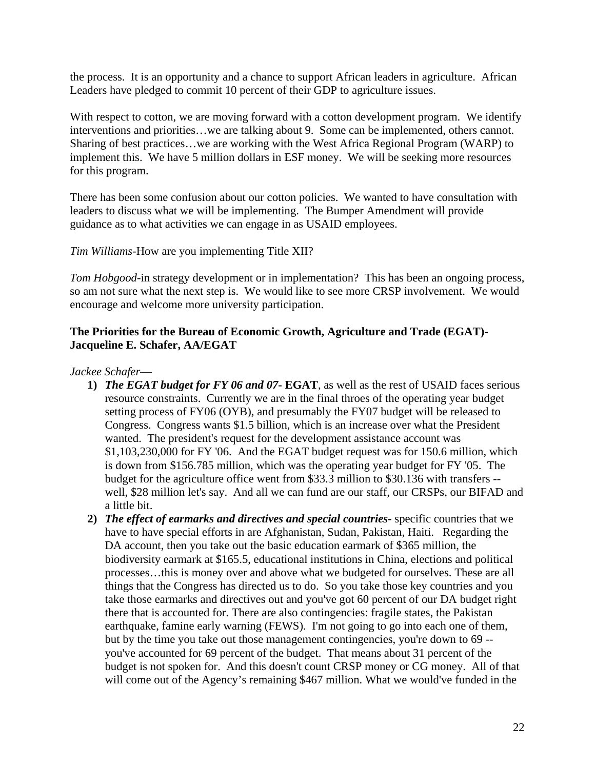the process. It is an opportunity and a chance to support African leaders in agriculture. African Leaders have pledged to commit 10 percent of their GDP to agriculture issues.

With respect to cotton, we are moving forward with a cotton development program. We identify interventions and priorities…we are talking about 9. Some can be implemented, others cannot. Sharing of best practices…we are working with the West Africa Regional Program (WARP) to implement this. We have 5 million dollars in ESF money. We will be seeking more resources for this program.

There has been some confusion about our cotton policies. We wanted to have consultation with leaders to discuss what we will be implementing. The Bumper Amendment will provide guidance as to what activities we can engage in as USAID employees.

*Tim Williams*-How are you implementing Title XII?

*Tom Hobgood*-in strategy development or in implementation? This has been an ongoing process, so am not sure what the next step is. We would like to see more CRSP involvement. We would encourage and welcome more university participation.

#### **The Priorities for the Bureau of Economic Growth, Agriculture and Trade (EGAT)- Jacqueline E. Schafer, AA/EGAT**

#### *Jackee Schafer*—

- **1)** *The EGAT budget for FY 06 and 07* **EGAT**, as well as the rest of USAID faces serious resource constraints. Currently we are in the final throes of the operating year budget setting process of FY06 (OYB), and presumably the FY07 budget will be released to Congress. Congress wants \$1.5 billion, which is an increase over what the President wanted. The president's request for the development assistance account was \$1,103,230,000 for FY '06. And the EGAT budget request was for 150.6 million, which is down from \$156.785 million, which was the operating year budget for FY '05. The budget for the agriculture office went from \$33.3 million to \$30.136 with transfers - well, \$28 million let's say. And all we can fund are our staff, our CRSPs, our BIFAD and a little bit.
- **2)** *The effect of earmarks and directives and special countries***-** specific countries that we have to have special efforts in are Afghanistan, Sudan, Pakistan, Haiti. Regarding the DA account, then you take out the basic education earmark of \$365 million, the biodiversity earmark at \$165.5, educational institutions in China, elections and political processes…this is money over and above what we budgeted for ourselves. These are all things that the Congress has directed us to do. So you take those key countries and you take those earmarks and directives out and you've got 60 percent of our DA budget right there that is accounted for. There are also contingencies: fragile states, the Pakistan earthquake, famine early warning (FEWS). I'm not going to go into each one of them, but by the time you take out those management contingencies, you're down to 69 - you've accounted for 69 percent of the budget. That means about 31 percent of the budget is not spoken for. And this doesn't count CRSP money or CG money. All of that will come out of the Agency's remaining \$467 million. What we would've funded in the